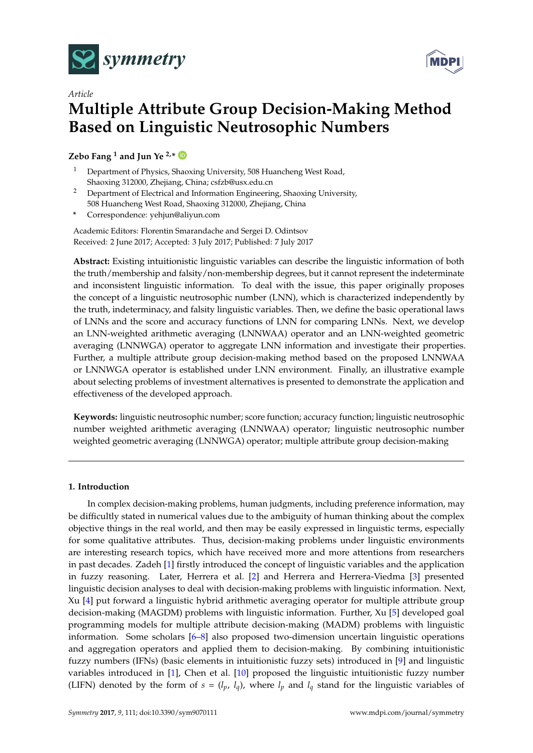

*Article*



# **Multiple Attribute Group Decision-Making Method Based on Linguistic Neutrosophic Numbers**

# **Zebo Fang**  $^1$  and Jun Ye  $^{2,*}$

- <sup>1</sup> Department of Physics, Shaoxing University, 508 Huancheng West Road, Shaoxing 312000, Zhejiang, China; csfzb@usx.edu.cn
- <sup>2</sup> Department of Electrical and Information Engineering, Shaoxing University, 508 Huancheng West Road, Shaoxing 312000, Zhejiang, China
- **\*** Correspondence: yehjun@aliyun.com

Academic Editors: Florentin Smarandache and Sergei D. Odintsov Received: 2 June 2017; Accepted: 3 July 2017; Published: 7 July 2017

**Abstract:** Existing intuitionistic linguistic variables can describe the linguistic information of both the truth/membership and falsity/non-membership degrees, but it cannot represent the indeterminate and inconsistent linguistic information. To deal with the issue, this paper originally proposes the concept of a linguistic neutrosophic number (LNN), which is characterized independently by the truth, indeterminacy, and falsity linguistic variables. Then, we define the basic operational laws of LNNs and the score and accuracy functions of LNN for comparing LNNs. Next, we develop an LNN-weighted arithmetic averaging (LNNWAA) operator and an LNN-weighted geometric averaging (LNNWGA) operator to aggregate LNN information and investigate their properties. Further, a multiple attribute group decision-making method based on the proposed LNNWAA or LNNWGA operator is established under LNN environment. Finally, an illustrative example about selecting problems of investment alternatives is presented to demonstrate the application and effectiveness of the developed approach.

**Keywords:** linguistic neutrosophic number; score function; accuracy function; linguistic neutrosophic number weighted arithmetic averaging (LNNWAA) operator; linguistic neutrosophic number weighted geometric averaging (LNNWGA) operator; multiple attribute group decision-making

## **1. Introduction**

In complex decision-making problems, human judgments, including preference information, may be difficultly stated in numerical values due to the ambiguity of human thinking about the complex objective things in the real world, and then may be easily expressed in linguistic terms, especially for some qualitative attributes. Thus, decision-making problems under linguistic environments are interesting research topics, which have received more and more attentions from researchers in past decades. Zadeh [\[1\]](#page-10-0) firstly introduced the concept of linguistic variables and the application in fuzzy reasoning. Later, Herrera et al. [\[2\]](#page-10-1) and Herrera and Herrera-Viedma [\[3\]](#page-10-2) presented linguistic decision analyses to deal with decision-making problems with linguistic information. Next, Xu [\[4\]](#page-10-3) put forward a linguistic hybrid arithmetic averaging operator for multiple attribute group decision-making (MAGDM) problems with linguistic information. Further, Xu [\[5\]](#page-10-4) developed goal programming models for multiple attribute decision-making (MADM) problems with linguistic information. Some scholars [\[6](#page-10-5)[–8\]](#page-10-6) also proposed two-dimension uncertain linguistic operations and aggregation operators and applied them to decision-making. By combining intuitionistic fuzzy numbers (IFNs) (basic elements in intuitionistic fuzzy sets) introduced in [\[9\]](#page-10-7) and linguistic variables introduced in [\[1\]](#page-10-0), Chen et al. [\[10\]](#page-10-8) proposed the linguistic intuitionistic fuzzy number (LIFN) denoted by the form of  $s = (l_p, l_q)$ , where  $l_p$  and  $l_q$  stand for the linguistic variables of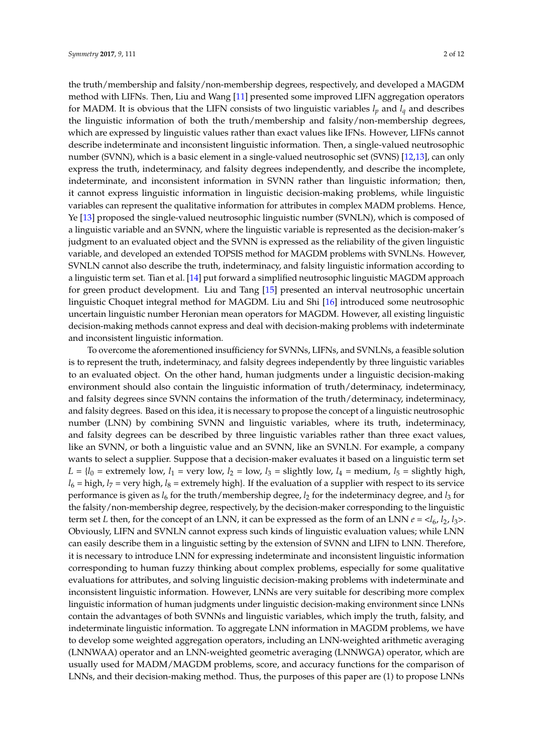the truth/membership and falsity/non-membership degrees, respectively, and developed a MAGDM method with LIFNs. Then, Liu and Wang [\[11\]](#page-10-9) presented some improved LIFN aggregation operators for MADM. It is obvious that the LIFN consists of two linguistic variables  $l_p$  and  $l_q$  and describes the linguistic information of both the truth/membership and falsity/non-membership degrees, which are expressed by linguistic values rather than exact values like IFNs. However, LIFNs cannot describe indeterminate and inconsistent linguistic information. Then, a single-valued neutrosophic number (SVNN), which is a basic element in a single-valued neutrosophic set (SVNS) [\[12,](#page-10-10)[13\]](#page-11-0), can only express the truth, indeterminacy, and falsity degrees independently, and describe the incomplete, indeterminate, and inconsistent information in SVNN rather than linguistic information; then, it cannot express linguistic information in linguistic decision-making problems, while linguistic variables can represent the qualitative information for attributes in complex MADM problems. Hence, Ye [\[13\]](#page-11-0) proposed the single-valued neutrosophic linguistic number (SVNLN), which is composed of a linguistic variable and an SVNN, where the linguistic variable is represented as the decision-maker's judgment to an evaluated object and the SVNN is expressed as the reliability of the given linguistic variable, and developed an extended TOPSIS method for MAGDM problems with SVNLNs. However, SVNLN cannot also describe the truth, indeterminacy, and falsity linguistic information according to a linguistic term set. Tian et al. [\[14\]](#page-11-1) put forward a simplified neutrosophic linguistic MAGDM approach for green product development. Liu and Tang [\[15\]](#page-11-2) presented an interval neutrosophic uncertain linguistic Choquet integral method for MAGDM. Liu and Shi [\[16\]](#page-11-3) introduced some neutrosophic uncertain linguistic number Heronian mean operators for MAGDM. However, all existing linguistic decision-making methods cannot express and deal with decision-making problems with indeterminate and inconsistent linguistic information.

To overcome the aforementioned insufficiency for SVNNs, LIFNs, and SVNLNs, a feasible solution is to represent the truth, indeterminacy, and falsity degrees independently by three linguistic variables to an evaluated object. On the other hand, human judgments under a linguistic decision-making environment should also contain the linguistic information of truth/determinacy, indeterminacy, and falsity degrees since SVNN contains the information of the truth/determinacy, indeterminacy, and falsity degrees. Based on this idea, it is necessary to propose the concept of a linguistic neutrosophic number (LNN) by combining SVNN and linguistic variables, where its truth, indeterminacy, and falsity degrees can be described by three linguistic variables rather than three exact values, like an SVNN, or both a linguistic value and an SVNN, like an SVNLN. For example, a company wants to select a supplier. Suppose that a decision-maker evaluates it based on a linguistic term set  $L = \{l_0 =$  extremely low,  $l_1 =$  very low,  $l_2 =$  low,  $l_3 =$  slightly low,  $l_4 =$  medium,  $l_5 =$  slightly high,  $l_6$  = high,  $l_7$  = very high,  $l_8$  = extremely high}. If the evaluation of a supplier with respect to its service performance is given as  $l_6$  for the truth/membership degree,  $l_2$  for the indeterminacy degree, and  $l_3$  for the falsity/non-membership degree, respectively, by the decision-maker corresponding to the linguistic term set *L* then, for the concept of an LNN, it can be expressed as the form of an LNN  $e = \langle l_6, l_2, l_3 \rangle$ . Obviously, LIFN and SVNLN cannot express such kinds of linguistic evaluation values; while LNN can easily describe them in a linguistic setting by the extension of SVNN and LIFN to LNN. Therefore, it is necessary to introduce LNN for expressing indeterminate and inconsistent linguistic information corresponding to human fuzzy thinking about complex problems, especially for some qualitative evaluations for attributes, and solving linguistic decision-making problems with indeterminate and inconsistent linguistic information. However, LNNs are very suitable for describing more complex linguistic information of human judgments under linguistic decision-making environment since LNNs contain the advantages of both SVNNs and linguistic variables, which imply the truth, falsity, and indeterminate linguistic information. To aggregate LNN information in MAGDM problems, we have to develop some weighted aggregation operators, including an LNN-weighted arithmetic averaging (LNNWAA) operator and an LNN-weighted geometric averaging (LNNWGA) operator, which are usually used for MADM/MAGDM problems, score, and accuracy functions for the comparison of LNNs, and their decision-making method. Thus, the purposes of this paper are (1) to propose LNNs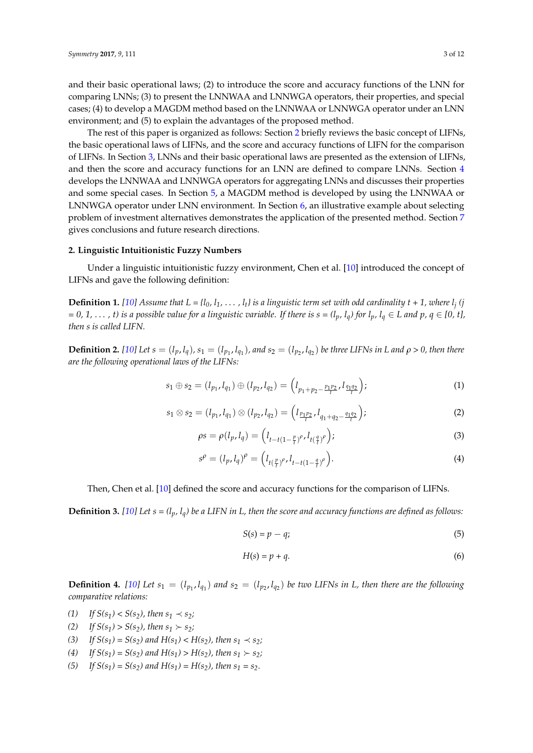and their basic operational laws; (2) to introduce the score and accuracy functions of the LNN for comparing LNNs; (3) to present the LNNWAA and LNNWGA operators, their properties, and special cases; (4) to develop a MAGDM method based on the LNNWAA or LNNWGA operator under an LNN environment; and (5) to explain the advantages of the proposed method.

The rest of this paper is organized as follows: Section [2](#page-2-0) briefly reviews the basic concept of LIFNs, the basic operational laws of LIFNs, and the score and accuracy functions of LIFN for the comparison of LIFNs. In Section [3,](#page-3-0) LNNs and their basic operational laws are presented as the extension of LIFNs, and then the score and accuracy functions for an LNN are defined to compare LNNs. Section [4](#page-4-0) develops the LNNWAA and LNNWGA operators for aggregating LNNs and discusses their properties and some special cases. In Section [5,](#page-7-0) a MAGDM method is developed by using the LNNWAA or LNNWGA operator under LNN environment. In Section [6,](#page-8-0) an illustrative example about selecting problem of investment alternatives demonstrates the application of the presented method. Section [7](#page-10-11) gives conclusions and future research directions.

## <span id="page-2-0"></span>**2. Linguistic Intuitionistic Fuzzy Numbers**

Under a linguistic intuitionistic fuzzy environment, Chen et al. [\[10\]](#page-10-8) introduced the concept of LIFNs and gave the following definition:

**Definition 1.** *[\[10\]](#page-10-8) Assume that L = {l0, l1,* . . . *, lt} is a linguistic term set with odd cardinality t + 1, where l<sup>j</sup> (j =* 0, 1, ..., *t*) is a possible value for a linguistic variable. If there is s =  $(l_p, l_q)$  for  $l_p, l_q ∈ L$  and  $p, q ∈ [0, t]$ , *then s is called LIFN.*

**Definition 2.** [\[10\]](#page-10-8) Let  $s = (l_p, l_q)$ ,  $s_1 = (l_{p_1}, l_{q_1})$ , and  $s_2 = (l_{p_2}, l_{q_2})$  be three LIFNs in L and  $\rho > 0$ , then there *are the following operational laws of the LIFNs:*

$$
s_1 \oplus s_2 = (l_{p_1}, l_{q_1}) \oplus (l_{p_2}, l_{q_2}) = (l_{p_1 + p_2 - \frac{p_1 p_2}{t}}, l_{\frac{q_1 q_2}{t}}); \tag{1}
$$

$$
s_1 \otimes s_2 = (l_{p_1}, l_{q_1}) \otimes (l_{p_2}, l_{q_2}) = \left(l_{\frac{p_1 p_2}{t}}, l_{q_1 + q_2 - \frac{q_1 q_2}{t}}\right);
$$
\n(2)

$$
\rho s = \rho(l_p, l_q) = \left(l_{t-t(1-\frac{p}{t})} \rho, l_{t(\frac{q}{t})} \rho\right);
$$
\n(3)

$$
s^{\rho} = (l_p, l_q)^{\rho} = \left( l_{t(\frac{p}{t})^{\rho}}, l_{t-t(1-\frac{q}{t})^{\rho}} \right).
$$
\n(4)

Then, Chen et al. [\[10\]](#page-10-8) defined the score and accuracy functions for the comparison of LIFNs.

**Definition 3.** [\[10\]](#page-10-8) Let  $s = (l_p, l_q)$  be a LIFN in L, then the score and accuracy functions are defined as follows:

$$
S(s) = p - q;
$$
\n<sup>(5)</sup>

$$
H(s) = p + q.\tag{6}
$$

**Definition 4.** [\[10\]](#page-10-8) Let  $s_1 = (l_{p_1}, l_{q_1})$  and  $s_2 = (l_{p_2}, l_{q_2})$  be two LIFNs in L, then there are the following *comparative relations:*

- *(1) If S*(*s*<sub>1</sub>*)* < *S*(*s*<sub>2</sub>*)*, *then s*<sub>1</sub> → *s*<sub>2</sub>*;*
- (2) *If*  $S(s_1) > S(s_2)$ , then  $s_1 \succ s_2$ ;
- (3) *If*  $S(s_1) = S(s_2)$  and  $H(s_1) < H(s_2)$ , then  $s_1 \prec s_2$ ;
- (4) *If*  $S(s_1) = S(s_2)$  and  $H(s_1) > H(s_2)$ , then  $s_1 > s_2$ ;
- (5) *If*  $S(s_1) = S(s_2)$  and  $H(s_1) = H(s_2)$ , then  $s_1 = s_2$ .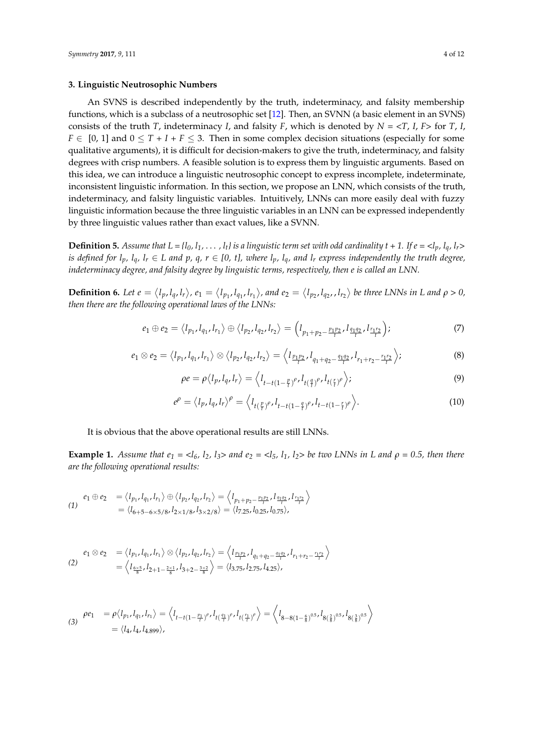## <span id="page-3-0"></span>**3. Linguistic Neutrosophic Numbers**

An SVNS is described independently by the truth, indeterminacy, and falsity membership functions, which is a subclass of a neutrosophic set [\[12\]](#page-10-10). Then, an SVNN (a basic element in an SVNS) consists of the truth *T*, indeterminacy *I*, and falsity *F*, which is denoted by  $N = \langle T, I, F \rangle$  for *T*, *I*, *F* ∈ [0, 1] and  $0 \leq T + I + F \leq 3$ . Then in some complex decision situations (especially for some qualitative arguments), it is difficult for decision-makers to give the truth, indeterminacy, and falsity degrees with crisp numbers. A feasible solution is to express them by linguistic arguments. Based on this idea, we can introduce a linguistic neutrosophic concept to express incomplete, indeterminate, inconsistent linguistic information. In this section, we propose an LNN, which consists of the truth, indeterminacy, and falsity linguistic variables. Intuitively, LNNs can more easily deal with fuzzy linguistic information because the three linguistic variables in an LNN can be expressed independently by three linguistic values rather than exact values, like a SVNN.

**Definition 5.** Assume that  $L = \{l_0, l_1, \ldots, l_t\}$  is a linguistic term set with odd cardinality  $t + 1$ . If  $e = \langle l_p, l_q, l_r \rangle$ *is defined for*  $l_p$ *,*  $l_q$ *,*  $l_r \in L$  *and*  $p$ *,*  $q$ *,*  $r \in [0, t]$ *, where*  $l_p$ *,*  $l_q$ *, and*  $l_r$  *express independently the truth degree, indeterminacy degree, and falsity degree by linguistic terms, respectively, then e is called an LNN.*

**Definition 6.** Let  $e = \langle l_p, l_q, l_r \rangle$ ,  $e_1 = \langle l_{p_1}, l_{q_1}, l_{r_1} \rangle$ , and  $e_2 = \langle l_{p_2}, l_{q_2}, l_{r_2} \rangle$  be three LNNs in L and  $\rho > 0$ , *then there are the following operational laws of the LNNs:*

$$
e_1 \oplus e_2 = \langle l_{p_1}, l_{q_1}, l_{r_1} \rangle \oplus \langle l_{p_2}, l_{q_2}, l_{r_2} \rangle = \Big( l_{p_1 + p_2 - \frac{p_1 p_2}{t}}, l_{\frac{q_1 q_2}{t}}, l_{\frac{r_1 r_2}{t}} \Big); \tag{7}
$$

$$
e_1 \otimes e_2 = \langle l_{p_1}, l_{q_1}, l_{r_1} \rangle \otimes \langle l_{p_2}, l_{q_2}, l_{r_2} \rangle = \langle l_{\frac{p_1 p_2}{t}}, l_{q_1 + q_2 - \frac{q_1 q_2}{t}}, l_{r_1 + r_2 - \frac{r_1 r_2}{t}} \rangle; \tag{8}
$$

$$
\rho e = \rho \langle l_p, l_q, l_r \rangle = \langle l_{t-t(1-\frac{p}{t})}^{\rho}, l_{t(\frac{q}{t})}^{\rho}, l_{t(\frac{r}{t})}^{\rho} \rangle; \tag{9}
$$

$$
e^{\rho} = \langle l_p, l_q, l_r \rangle^{\rho} = \langle l_{t(\frac{p}{t})^{\rho}}, l_{t-t(1-\frac{q}{t})^{\rho}}, l_{t-t(1-\frac{r}{t})^{\rho}} \rangle.
$$
 (10)

It is obvious that the above operational results are still LNNs.

**Example 1.** Assume that  $e_1 = \langle l_6, l_2, l_3 \rangle$  and  $e_2 = \langle l_5, l_1, l_2 \rangle$  be two LNNs in L and  $\rho = 0.5$ , then there *are the following operational results:*

$$
e_1 \oplus e_2 = \langle l_{p_1}, l_{q_1}, l_{r_1} \rangle \oplus \langle l_{p_2}, l_{q_2}, l_{r_2} \rangle = \langle l_{p_1 + p_2 - \frac{p_1 p_2}{t}}, l_{\frac{q_1 q_2}{t}}, l_{\frac{r_1 r_2}{t}} \rangle
$$
  
=  $\langle l_{6+5-6 \times 5/8}, l_{2 \times 1/8}, l_{3 \times 2/8} \rangle = \langle l_{7.25}, l_{0.25}, l_{0.75} \rangle$ ,

$$
e_1 \otimes e_2 = \langle l_{p_1}, l_{q_1}, l_{r_1} \rangle \otimes \langle l_{p_2}, l_{q_2}, l_{r_2} \rangle = \langle l_{\frac{p_1 p_2}{t}}, l_{q_1 + q_2 - \frac{q_1 q_2}{t}}, l_{r_1 + r_2 - \frac{r_1 r_2}{t}} \rangle
$$
  
(2) 
$$
= \langle l_{\frac{6 \times 5}{8}}, l_{2+1 - \frac{2 \times 1}{8}}, l_{3+2 - \frac{3 \times 2}{8}} \rangle = \langle l_{3.75}, l_{2.75}, l_{4.25} \rangle,
$$

$$
\begin{array}{ll} \n\rho e_1 & = \rho \langle l_{p_1}, l_{q_1}, l_{r_1} \rangle = \left\langle l_{t-t(1-\frac{p_1}{t})} \rho, l_{t(\frac{q_1}{t})} \rho, l_{t(\frac{r_1}{t})} \rho \right\rangle = \left\langle l_{8-8(1-\frac{6}{8})} \rho^{0.5}, l_{8(\frac{2}{8})} \rho^{0.5} \rho^{1} \right\rangle \\ \n& = \langle l_{4}, l_{4}, l_{4,899} \rangle, \n\end{array}
$$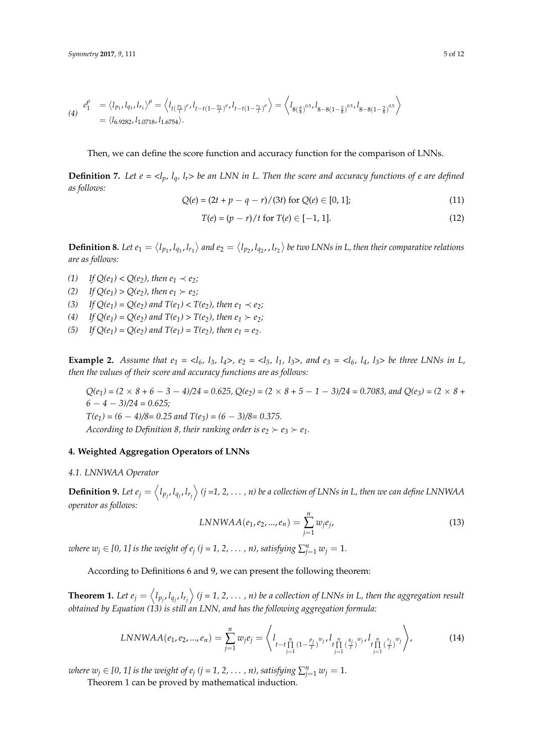$$
e_1^{\rho} = \langle l_{p_1}, l_{q_1}, l_{r_1} \rangle^{\rho} = \langle l_{t(\frac{p_1}{t})^{\rho}}, l_{t-t(1-\frac{q_1}{t})^{\rho}}, l_{t-t(1-\frac{r_1}{t})^{\rho}} \rangle = \langle l_{8(\frac{6}{8})^{0.5}}, l_{8-8(1-\frac{2}{8})^{0.5}}, l_{8-8(1-\frac{3}{8})^{0.5}} \rangle
$$
  
=  $\langle l_{6.9282}, l_{1.0718}, l_{1.6754} \rangle$ .

Then, we can define the score function and accuracy function for the comparison of LNNs.

**Definition 7.** Let  $e = \langle l_p, l_q, l_r \rangle$  be an LNN in L. Then the score and accuracy functions of e are defined *as follows:*

$$
Q(e) = (2t + p - q - r)/(3t) \text{ for } Q(e) \in [0, 1];
$$
\n(11)

$$
T(e) = (p - r)/t \text{ for } T(e) \in [-1, 1].
$$
 (12)

**Definition 8.** Let  $e_1 = \langle l_{p_1}, l_{q_1}, l_{r_1} \rangle$  and  $e_2 = \langle l_{p_2}, l_{q_2}, l_{r_2} \rangle$  be two LNNs in L, then their comparative relations *are as follows:*

- (1) *If*  $Q(e_1) < Q(e_2)$ , then  $e_1 \prec e_2$ ;
- (2) *If*  $Q(e_1) > Q(e_2)$ *, then*  $e_1 \succ e_2$ *;*
- (3) *If*  $Q(e_1) = Q(e_2)$  and  $T(e_1) < T(e_2)$ , then  $e_1 \prec e_2$ ;
- (4) *If*  $Q(e_1) = Q(e_2)$  *and*  $T(e_1) > T(e_2)$ *, then*  $e_1 \succ e_2$ *;*
- (5) *If*  $Q(e_1) = Q(e_2)$  *and*  $T(e_1) = T(e_2)$ *, then*  $e_1 = e_2$ *.*

**Example 2.** Assume that  $e_1 = \langle l_6, l_3, l_4 \rangle$ ,  $e_2 = \langle l_5, l_1, l_3 \rangle$ , and  $e_3 = \langle l_6, l_4, l_3 \rangle$  be three LNNs in L, *then the values of their score and accuracy functions are as follows:*

 $Q(e_1) = (2 \times 8 + 6 - 3 - 4)/24 = 0.625$ ,  $Q(e_2) = (2 \times 8 + 5 - 1 - 3)/24 = 0.7083$ , and  $Q(e_3) = (2 \times 8 + 1)$ *6* − *4* − *3)/24 = 0.625;*  $T(e_1) = (6 - 4)/8 = 0.25$  and  $T(e_3) = (6 - 3)/8 = 0.375$ . *According to Definition 8, their ranking order is*  $e_2 \succ e_3 \succ e_1$ *.* 

## <span id="page-4-0"></span>**4. Weighted Aggregation Operators of LNNs**

*4.1. LNNWAA Operator*

**Definition 9.** Let  $e_j = \left\langle l_{p_j}, l_{q_j}, l_{r_j}\right\rangle$  (j =1, 2,  $\ldots$  , n) be a collection of LNNs in L, then we can define LNNWAA *operator as follows:*

$$
LNNWAA(e_1, e_2, ..., e_n) = \sum_{j=1}^{n} w_j e_j,
$$
\n(13)

*where*  $w_j \in [0, 1]$  *is the weight of*  $e_j$  *(j = 1, 2, . . . , n), satisfying*  $\sum_{j=1}^n w_j = 1$ .

According to Definitions 6 and 9, we can present the following theorem:

 ${\bf Theorem~1.}$  Let  $e_j=\left\langle l_{p_j},l_{q_j},l_{r_j}\right\rangle$  (j = 1, 2,  $\ldots$  , n) be a collection of LNNs in L, then the aggregation result *obtained by Equation (13) is still an LNN, and has the following aggregation formula:*

$$
LNNWAA(e_1, e_2, ..., e_n) = \sum_{j=1}^{n} w_j e_j = \left\langle l_{t-t\prod_{j=1}^{n} (1-\frac{p_j}{t})^{w_j}} l_{t\prod_{j=1}^{n} (\frac{q_j}{t})^{w_j}} l_{t\prod_{j=1}^{n} (\frac{r_j}{t})^{w_j}} \right\rangle,
$$
(14)

*where*  $w_j \in [0, 1]$  *is the weight of*  $e_j$  *(j = 1, 2, . . . , n), satisfying*  $\sum_{j=1}^n w_j = 1$ .

Theorem 1 can be proved by mathematical induction.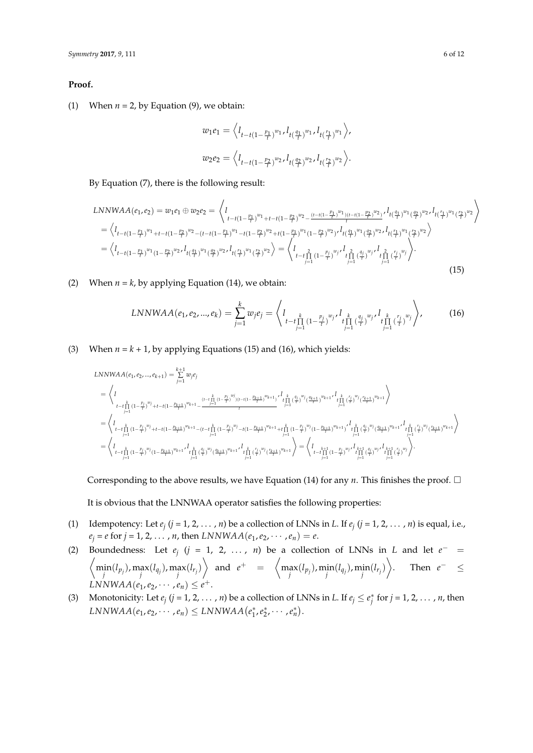#### **Proof.**

(1) When  $n = 2$ , by Equation (9), we obtain:

$$
w_1e_1 = \left\langle l_{t-t(1-\frac{p_1}{t})^{w_1}} , l_{t(\frac{q_1}{t})^{w_1}} , l_{t(\frac{r_1}{t})^{w_1}} \right\rangle,
$$
  

$$
w_2e_2 = \left\langle l_{t-t(1-\frac{p_2}{t})^{w_2}} , l_{t(\frac{q_2}{t})^{w_2}} , l_{t(\frac{r_2}{t})^{w_2}} \right\rangle.
$$

By Equation (7), there is the following result:

$$
LNNWAA(e1, e2) = w1e1 ⊕ w2e2 = \left\langle l_{t-t(1-\frac{p_1}{t})^{w_1}+t-t(1-\frac{p_2}{t})^{w_2} - \frac{(t-t(1-\frac{p_1}{t})^{w_1})(t-t(1-\frac{p_2}{t})^{w_2})}{t'}l_{t(\frac{q_1}{t})^{w_1}(\frac{q_2}{t})^{w_2}}l_{t(\frac{q_1}{t})^{w_1}(\frac{r_2}{t})^{w_2}}l_{t(\frac{r_1}{t})^{w_1}+\frac{(t-t)(1-\frac{p_2}{t})^{w_2}}{t'}}\right\rangle
$$
  
=  $\left\langle l_{t-t(1-\frac{p_1}{t})^{w_1}+t-t(1-\frac{p_2}{t})^{w_2} - (t-t(1-\frac{p_1}{t})^{w_1} - t(1-\frac{p_2}{t})^{w_2} + t(1-\frac{p_1}{t})^{w_1}(1-\frac{p_2}{t})^{w_2}\right\rangle + t(\frac{q_1}{t})^{w_1}(\frac{q_2}{t})^{w_2}\right\rangle$   
=  $\left\langle l_{t-t(1-\frac{p_1}{t})^{w_1}(1-\frac{p_2}{t})^{w_2}}l_{t(\frac{q_1}{t})^{w_1}(\frac{q_2}{t})^{w_2}}l_{t(\frac{r_1}{t})^{w_1}(\frac{r_2}{t})^{w_2}}\right\rangle = \left\langle l_{t-t\prod_{j=1}^{2}(1-\frac{p_j}{t})^{w_j}}l_{t\prod_{j=1}^{2}(\frac{q_j}{t})^{w_j}}l_{t\prod_{j=1}^{2}(\frac{r_j}{t})^{w_j}}l_{t(\frac{q_j}{t})^{w_j}}\right\rangle$ . (15)

(2) When  $n = k$ , by applying Equation (14), we obtain:

$$
LNNWAA(e_1, e_2, ..., e_k) = \sum_{j=1}^k w_j e_j = \left\langle l_{t-t\prod_{j=1}^k (1-\frac{p_j}{t})^{w_j}} l_{\substack{k \text{if } j \text{if } j \text{if } j \\ j=1}}(t_j^i)^{w_j}} l_{\substack{k \text{if } j \text{if } j \text{if } j \\ j=1}}(t_j^i)^{w_j}} \right\rangle, \tag{16}
$$

(3) When  $n = k + 1$ , by applying Equations (15) and (16), which yields:

$$
\begin{split} &LNNWAA(e_1,e_2,...,e_{k+1})=\sum_{j=1}^{k+1}w_j e_j\\ &=\left\langle I\underset{t-t\prod_{j=1}^{k}(1-\frac{p_j}{t})^{w_j}+t-t(1-\frac{p_{k+1}}{t})^{w_{k+1}}-\frac{(t-t\prod\limits_{j=1}^{k}(1-\frac{p_j}{t})^{w_j})(t-t(1-\frac{p_{k+1}}{t})^{w_{k+1}})^{t}\prod\limits_{j=1}^{k}(\frac{q_j}{t})^{w_j}(\frac{q_{k+1}}{t})^{w_{k+1}}\right\}^{u_{k+1}}\right\rangle\\ &=\left\langle I\underset{t-t\prod_{j=1}^{k}(1-\frac{p_j}{t})^{w_j}+t-t(1-\frac{p_{k+1}}{t})^{w_{k+1}}-(t-t\prod\limits_{j=1}^{k}(1-\frac{p_j}{t})^{w_j}-t(1-\frac{p_{k+1}}{t})^{w_{k+1}}+t\prod\limits_{j=1}^{k}(1-\frac{p_j}{t})^{w_j}(1-\frac{p_{k+1}}{t})^{w_{k+1}}\right\rangle^{t}\prod\limits_{j=1}^{k}(\frac{q_j}{t})^{w_j}(\frac{q_{k+1}}{t})^{w_{k+1}}\left\langle I\underset{j=1}{\overset{k}(1-\frac{p_j}{t})^{w_j}}(t-\frac{p_{k+1}}{t})^{w_{k+1}}\right\rangle^{u_{k+1}}\right\rangle\\ &=\left\langle I\underset{t-t\prod_{j=1}^{k}(1-\frac{p_j}{t})^{w_j}}{\overset{k}(1-\frac{p_j}{t})^{w_j}}(1-\frac{p_{k+1}}{t})^{w_{k+1}}\left\langle I\underset{j=1}{\overset{k}(1-\frac{p_j}{t})^{w_j}}(t-\frac{q_{k+1}}{t})^{w_{k+1}}\right\rangle^{u_{k+1}}\right\rangle=\left\langle I\underset{t-t\prod_{j=1}^{k}(1-\frac{p_j}{t})^{w_j}}{\overset{k}(1-\frac{p_j}{t})^{w_j}}\left\langle I\underset{j=1}{\overset{k}(1-\frac{p_j}{t})^{w_j}}\right\rangle^{u_{k+1}}\right\rangle^{u_{k+1}}\right\rangle. \end{split}
$$

Corresponding to the above results, we have Equation (14) for any *n*. This finishes the proof.  $\Box$ 

It is obvious that the LNNWAA operator satisfies the following properties:

- (1) Idempotency: Let  $e_j$  ( $j = 1, 2, ..., n$ ) be a collection of LNNs in *L*. If  $e_j$  ( $j = 1, 2, ..., n$ ) is equal, i.e.,  $e_j = e$  for  $j = 1, 2, ..., n$ , then *LNNWAA*( $e_1, e_2, ..., e_n$ ) = *e*.
- (2) Boundedness: Let  $e_j$  ( $j = 1, 2, ..., n$ ) be a collection of LNNs in *L* and let  $e^-$  =  $\left\langle \min_j(l_{p_j}), \max_j(l_{q_j}), \max_j(l_{r_j}) \right\rangle$  and  $e^+ = \left\langle \max_j(l_{p_j}), \min_j(l_{q_j}), \min_j(l_{r_j}) \right\rangle$ . Then  $e^- \leq$ *LNNWAA*( $e_1, e_2, \cdots, e_n$ )  $\le e^+$ .
- (3) Monotonicity: Let  $e_j$  ( $j = 1, 2, ..., n$ ) be a collection of LNNs in *L*. If  $e_j \leq e_j^*$  for  $j = 1, 2, ..., n$ , then  $LNNWAA(e_1, e_2, \cdots, e_n) \leq LNNWAA(e_1^*, e_2^*, \cdots, e_n^*)$ .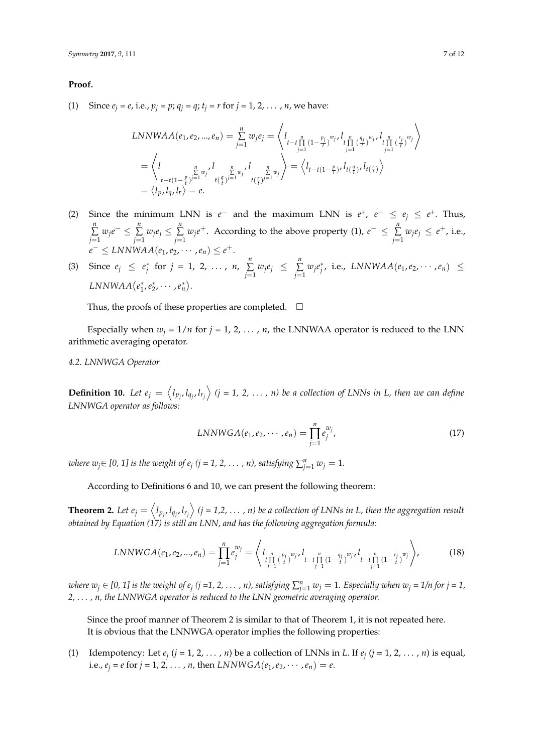#### **Proof.**

(1) Since  $e_j = e$ , i.e.,  $p_j = p$ ;  $q_j = q$ ;  $t_j = r$  for  $j = 1, 2, ..., n$ , we have:

$$
LNNWAA(e_1, e_2, ..., e_n) = \sum_{j=1}^n w_j e_j = \left\langle l_{t-t\prod_{j=1}^n (1-\frac{p_j}{t})^{w_j}} l_{\prod_{j=1}^n (\frac{q_j}{t})^{w_j}} l_{\prod_{j=1}^n (\frac{r_j}{t})^{w_j}} \right\rangle
$$
  
=  $\left\langle l_{t-t(1-\frac{p}{t})^{j}} l_{\prod_{j=1}^n w_j} l_{\prod_{j=1}^n w_j} l_{\prod_{j=1}^n w_j} \right\rangle = \left\langle l_{t-t(1-\frac{p}{t})}, l_{t(\frac{q}{t})}, l_{t(\frac{r}{t})} \right\rangle$   
=  $\left\langle l_{p}, l_q, l_r \right\rangle = e.$ 

- (2) Since the minimum LNN is  $e^-$  and the maximum LNN is  $e^+$ ,  $e^- \le e_j \le e^+$ . Thus, *n* ∑  $\sum_{j=1}^{n} w_j e^{-} \leq \sum_{j=1}^{n}$  $\sum_{j=1}^n w_j e_j \leq \sum_{j=1}^n$  $\sum_{j=1}^{n} w_j e^+$ . According to the above property (1),  $e^- \leq \sum_{j=1}^{n}$  $\sum_{j=1}^{n} w_j e_j \leq e^+$ , i.e.,  $e^-$  ≤ *LNNWAA*( $e_1, e_2, \cdots, e_n$ ) ≤  $e^+$ .
- (3) Since  $e_j \leq e_j^*$  for  $j = 1, 2, ..., n, \sum_{i=1}^{n}$  $\sum_{j=1}^n w_j e_j \leq \sum_{j=1}^n$  $\sum_{j=1}^{n} w_j e_j^*$ , i.e., *LNNWAA*(*e*<sub>1</sub>, *e*<sub>2</sub>, · · · ,*e*<sub>*n*</sub>) ≤  $LNNWAA(e_1^*,e_2^*,\cdots,e_n^*)$ .

Thus, the proofs of these properties are completed.  $\Box$ 

Especially when  $w_i = 1/n$  for  $j = 1, 2, ..., n$ , the LNNWAA operator is reduced to the LNN arithmetic averaging operator.

# *4.2. LNNWGA Operator*

**Definition 10.** Let  $e_j = \langle l_{p_j}, l_{q_j}, l_{r_j} \rangle$  (j = 1, 2, ..., n) be a collection of LNNs in L, then we can define *LNNWGA operator as follows:*

$$
LNNWGA(e_1, e_2, \cdots, e_n) = \prod_{j=1}^{n} e_j^{w_j},
$$
\n(17)

*where*  $w_j \in [0, 1]$  is the weight of  $e_j$  (j = 1, 2, . . . , n), satisfying  $\sum_{j=1}^n w_j = 1$ .

According to Definitions 6 and 10, we can present the following theorem:

 ${\bf Theorem~2.}$  Let  $e_j=\left\langle l_{p_j},l_{q_j},l_{r_j}\right\rangle$   $(j=1,2,\,\ldots\,$  n) be a collection of LNNs in L, then the aggregation result *obtained by Equation (17) is still an LNN, and has the following aggregation formula:*

$$
LNNWGA(e_1, e_2, ..., e_n) = \prod_{j=1}^{n} e_j^{w_j} = \left\langle l_{\substack{r \text{ in } \\ t \prod_{j=1}^n} \left(\frac{p_j}{t}\right)^{w_j}} l_{t-t} \prod_{j=1}^n \left(1 - \frac{q_j}{t}\right)^{w_j}} l_{t-t} \prod_{j=1}^n \left(1 - \frac{r_j}{t}\right)^{w_j}} \right\rangle,
$$
(18)

 $m$  where  $w_j \in [0, 1]$  is the weight of  $e_j$  (j =1, 2,  $\dots$  , n), satisfying  $\sum_{j=1}^n w_j = 1$ . Especially when  $w_j = 1/n$  for j = 1, *2,* . . . *, n, the LNNWGA operator is reduced to the LNN geometric averaging operator.*

Since the proof manner of Theorem 2 is similar to that of Theorem 1, it is not repeated here. It is obvious that the LNNWGA operator implies the following properties:

(1) Idempotency: Let  $e_j$  ( $j = 1, 2, ..., n$ ) be a collection of LNNs in *L*. If  $e_j$  ( $j = 1, 2, ..., n$ ) is equal, i.e.,  $e_i = e$  for  $j = 1, 2, ..., n$ , then  $LNNWGA(e_1, e_2, ..., e_n) = e$ .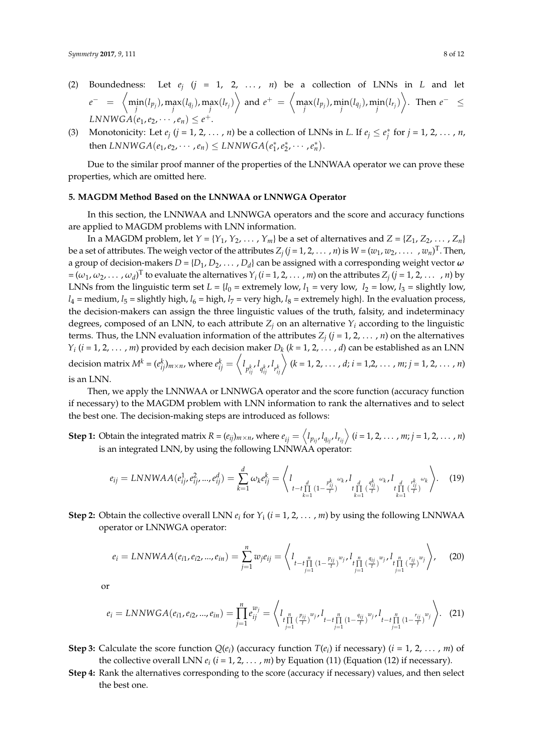- (2) Boundedness: Let *e<sup>j</sup>* (*j* = 1, 2, . . . , *n*) be a collection of LNNs in *L* and let  $e^- = \left\langle \min_j(l_{p_j}), \max_j(l_{q_j}), \max_j(l_{r_j}) \right\rangle$  and  $e^+ = \left\langle \max_j(l_{p_j}), \min_j(l_{q_j}), \min_j(l_{r_j}) \right\rangle$ . Then  $e^- \leq$ *LNNWGA*( $e_1, e_2, \cdots, e_n$ )  $\le e^+$ .
- (3) Monotonicity: Let  $e_j$  ( $j = 1, 2, ..., n$ ) be a collection of LNNs in *L*. If  $e_j \leq e_j^*$  for  $j = 1, 2, ..., n$ , then  $LNNWGA(e_1, e_2, \dots, e_n) \leq LNNWGA(e_1^*, e_2^*, \dots, e_n^*)$ .

Due to the similar proof manner of the properties of the LNNWAA operator we can prove these properties, which are omitted here.

# <span id="page-7-0"></span>**5. MAGDM Method Based on the LNNWAA or LNNWGA Operator**

In this section, the LNNWAA and LNNWGA operators and the score and accuracy functions are applied to MAGDM problems with LNN information.

In a MAGDM problem, let  $Y = \{Y_1, Y_2, \dots, Y_m\}$  be a set of alternatives and  $Z = \{Z_1, Z_2, \dots, Z_n\}$ be a set of attributes. The weigh vector of the attributes  $Z_j$   $(j = 1, 2, ..., n)$  is  $W = (w_1, w_2, ..., w_n)^T$ . Then, a group of decision-makers  $D = \{D_1, D_2, \ldots, D_d\}$  can be assigned with a corresponding weight vector  $\bm{\omega}$  $=(\omega_1, \omega_2, \ldots, \omega_d)$ <sup>T</sup> to evaluate the alternatives  $Y_i$  ( $i=1, 2, \ldots, m$ ) on the attributes  $Z_j$  ( $j=1, 2, \ldots, n$ ) by LNNs from the linguistic term set  $L = \{l_0 =$  extremely low,  $l_1 =$  very low,  $l_2 =$  low,  $l_3 =$  slightly low,  $l_4$  = medium,  $l_5$  = slightly high,  $l_6$  = high,  $l_7$  = very high,  $l_8$  = extremely high}. In the evaluation process, the decision-makers can assign the three linguistic values of the truth, falsity, and indeterminacy degrees, composed of an LNN, to each attribute  $Z_j$  on an alternative  $Y_i$  according to the linguistic terms. Thus, the LNN evaluation information of the attributes  $Z_j$  ( $j = 1, 2, ..., n$ ) on the alternatives  $Y_i$  ( $i = 1, 2, ..., m$ ) provided by each decision maker  $D_k$  ( $k = 1, 2, ..., d$ ) can be established as an LNN decision matrix  $M^k = (e_{ij}^k)_{m \times n}$ , where  $e_{ij}^k = \left\langle l_{p_{ij}^k} , l_{q_{ij}^k} , l_{p_{ij}^k} \right\rangle$   $(k = 1, 2, \ldots, d; i = 1, 2, \ldots, m; j = 1, 2, \ldots, n)$ is an LNN.

Then, we apply the LNNWAA or LNNWGA operator and the score function (accuracy function if necessary) to the MAGDM problem with LNN information to rank the alternatives and to select the best one. The decision-making steps are introduced as follows:

**Step 1:** Obtain the integrated matrix  $R = (e_{ij})_{m \times n}$ , where  $e_{ij} = \left\langle l_{p_{ij}}, l_{q_{ij}}, l_{r_{ij}} \right\rangle$   $(i = 1, 2, \ldots, m; j = 1, 2, \ldots, n)$ is an integrated LNN, by using the following LNNWAA operator:

$$
e_{ij} = LNNWAA(e_{ij}^1, e_{ij}^2, ..., e_{ij}^d) = \sum_{k=1}^d \omega_k e_{ij}^k = \left\langle l_{\substack{t-t \prod_{k=1}^d (1 - \frac{p_{ij}^k}{t})}^{t} \sum_{\substack{m=1 \ n \neq j}}^d \frac{1}{m} \sum_{\substack{t=1 \ n \neq j}}^d \frac{1}{m} \sum_{\substack{t=1 \ n \neq j}}^d \frac{1}{m} \sum_{\substack{t=1 \ n \neq j}}^d \frac{1}{m} \sum_{\substack{t=1 \ n \neq j}}^d \frac{1}{m} \sum_{\substack{t=1 \ n \neq j}}^d \frac{1}{m} \sum_{\substack{t=1 \ n \neq j}}^d \frac{1}{m} \sum_{\substack{t=1 \ n \neq j}}^d \frac{1}{m} \sum_{\substack{t=1 \ n \neq j}}^d \frac{1}{m} \sum_{\substack{t=1 \ n \neq j}}^d \frac{1}{m} \sum_{\substack{t=1 \ n \neq j}}^d \frac{1}{m} \sum_{\substack{t=1 \ n \neq j}}^d \frac{1}{m} \sum_{\substack{t=1 \ n \neq j}}^d \frac{1}{m} \sum_{\substack{t=1 \ n \neq j}}^d \frac{1}{m} \sum_{\substack{t=1 \ n \neq j}}^d \frac{1}{m} \sum_{\substack{t=1 \ n \neq j}}^d \frac{1}{m} \sum_{\substack{t=1 \ n \neq j}}^d \frac{1}{m} \sum_{\substack{t=1 \ n \neq j}}^d \frac{1}{m} \sum_{\substack{t=1 \ n \neq j}}^d \frac{1}{m} \sum_{\substack{t=1 \ n \neq j}}^d \frac{1}{m} \sum_{\substack{t=1 \ n \neq j}}^d \frac{1}{m} \sum_{\substack{t=1 \ n \neq j}}^d \frac{1}{m} \sum_{\substack{t=1 \ n \neq j}}^d \frac{1}{m} \sum_{\substack{t=1 \ n \neq j}}^d \frac{1}{m} \sum_{\substack{t=1 \ n \neq j}}^d \frac{1}{m} \sum_{\substack{t=1 \ n \neq j}}^
$$

**Step 2:** Obtain the collective overall LNN  $e_i$  for  $Y_i$  ( $i = 1, 2, ..., m$ ) by using the following LNNWAA operator or LNNWGA operator:

$$
e_i = LNNWAA(e_{i1}, e_{i2}, ..., e_{in}) = \sum_{j=1}^{n} w_j e_{ij} = \left\langle l_{t-t\prod_{j=1}^{n} (1-\frac{p_{ij}}{t})^{w_j}} l_{\prod_{j=1}^{n} (\frac{q_{ij}}{t})^{w_j}} l_{\prod_{j=1}^{n} (\frac{r_{ij}}{t})^{w_j}} \right\rangle, \quad (20)
$$

or

$$
e_i = LNNWGA(e_{i1}, e_{i2}, ..., e_{in}) = \prod_{j=1}^{n} e_{ij}^{w_j} = \left\langle l_{\substack{r \prod_{j=1}^{n} {p_{ij} \choose r} w_j, l_{t-1} \prod_{j=1}^{n} (1 - \frac{q_{ij}}{t})^{w_j, l_{t-1}} \prod_{j=1}^{n} (1 - \frac{r_{ij}}{t})^{w_j}} \right\rangle. (21)
$$

- **Step 3:** Calculate the score function  $Q(e_i)$  (accuracy function  $T(e_i)$  if necessary) ( $i = 1, 2, ..., m$ ) of the collective overall LNN  $e_i$  ( $i = 1, 2, ..., m$ ) by Equation (11) (Equation (12) if necessary).
- **Step 4:** Rank the alternatives corresponding to the score (accuracy if necessary) values, and then select the best one.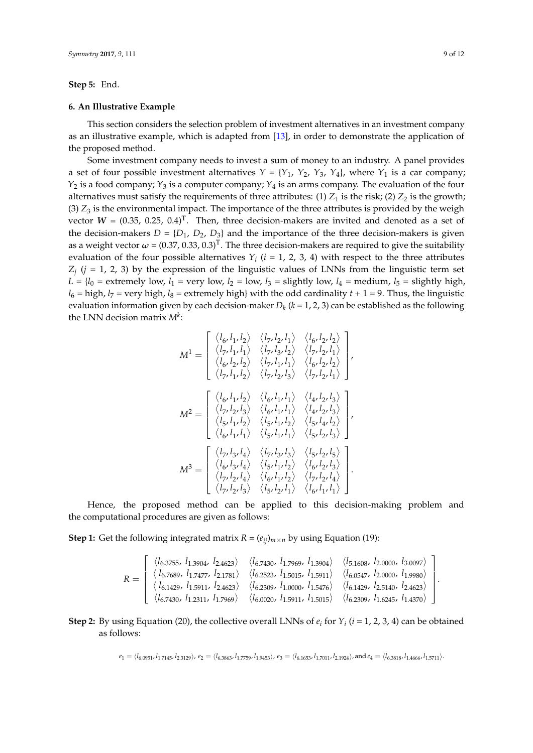# **Step 5:** End.

#### <span id="page-8-0"></span>**6. An Illustrative Example**

This section considers the selection problem of investment alternatives in an investment company as an illustrative example, which is adapted from [\[13\]](#page-11-0), in order to demonstrate the application of the proposed method.

Some investment company needs to invest a sum of money to an industry. A panel provides a set of four possible investment alternatives  $Y = \{Y_1, Y_2, Y_3, Y_4\}$ , where  $Y_1$  is a car company; *Y*<sup>2</sup> is a food company; *Y*<sup>3</sup> is a computer company; *Y*<sup>4</sup> is an arms company. The evaluation of the four alternatives must satisfy the requirements of three attributes: (1)  $Z_1$  is the risk; (2)  $Z_2$  is the growth; (3)  $Z_3$  is the environmental impact. The importance of the three attributes is provided by the weigh vector  $W = (0.35, 0.25, 0.4)^T$ . Then, three decision-makers are invited and denoted as a set of the decision-makers  $D = \{D_1, D_2, D_3\}$  and the importance of the three decision-makers is given as a weight vector  $\omega$  = (0.37, 0.33, 0.3)<sup>T</sup>. The three decision-makers are required to give the suitability evaluation of the four possible alternatives  $Y_i$  ( $i = 1, 2, 3, 4$ ) with respect to the three attributes  $Z_j$  (*j* = 1, 2, 3) by the expression of the linguistic values of LNNs from the linguistic term set  $L = \{l_0 =$  extremely low,  $l_1 =$  very low,  $l_2 =$  low,  $l_3 =$  slightly low,  $l_4 =$  medium,  $l_5 =$  slightly high,  $l_6$  = high,  $l_7$  = very high,  $l_8$  = extremely high} with the odd cardinality  $t + 1 = 9$ . Thus, the linguistic evaluation information given by each decision-maker *D<sup>k</sup>* (*k* = 1, 2, 3) can be established as the following the LNN decision matrix *M<sup>k</sup>* :

$$
M^{1} = \begin{bmatrix} \langle l_{6}, l_{1}, l_{2} \rangle & \langle l_{7}, l_{2}, l_{1} \rangle & \langle l_{6}, l_{2}, l_{2} \rangle \\ \langle l_{7}, l_{1}, l_{1} \rangle & \langle l_{7}, l_{3}, l_{2} \rangle & \langle l_{7}, l_{2}, l_{1} \rangle \\ \langle l_{6}, l_{2}, l_{2} \rangle & \langle l_{7}, l_{1}, l_{1} \rangle & \langle l_{6}, l_{2}, l_{2} \rangle \\ \langle l_{7}, l_{1}, l_{2} \rangle & \langle l_{7}, l_{2}, l_{3} \rangle & \langle l_{7}, l_{2}, l_{1} \rangle \end{bmatrix},
$$

$$
M^{2} = \begin{bmatrix} \langle l_{6}, l_{1}, l_{2} \rangle & \langle l_{6}, l_{1}, l_{1} \rangle & \langle l_{4}, l_{2}, l_{3} \rangle \\ \langle l_{7}, l_{2}, l_{3} \rangle & \langle l_{6}, l_{1}, l_{1} \rangle & \langle l_{4}, l_{2}, l_{3} \rangle \\ \langle l_{5}, l_{1}, l_{2} \rangle & \langle l_{5}, l_{1}, l_{2} \rangle & \langle l_{5}, l_{1}, l_{2} \rangle \\ \langle l_{6}, l_{1}, l_{1} \rangle & \langle l_{5}, l_{1}, l_{1} \rangle & \langle l_{5}, l_{2}, l_{3} \rangle \end{bmatrix},
$$

$$
M^{3} = \begin{bmatrix} \langle l_{7}, l_{3}, l_{4} \rangle & \langle l_{7}, l_{3}, l_{3} \rangle & \langle l_{5}, l_{2}, l_{5} \rangle \\ \langle l_{6}, l_{3}, l_{4} \rangle & \langle l_{5}, l_{1}, l_{2} \rangle & \langle l_{6}, l_{2}, l_{3} \rangle \\ \langle l_{7}, l_{2}, l_{4} \rangle & \langle l_{6}, l_{1}, l_{2} \rangle & \langle l_{7}, l_{2}, l_{4} \rangle \\ \langle l_{7}, l_{2}, l_{3} \rangle & \langle l_{5}, l_{2}, l_{1} \rangle & \langle l_{6}, l_{1}, l_{1} \rangle \end{bmatrix}.
$$

Hence, the proposed method can be applied to this decision-making problem and the computational procedures are given as follows:

**Step 1:** Get the following integrated matrix  $R = (e_{ij})_{m \times n}$  by using Equation (19):

| $R =$ |                                                                                                                                                                | $\langle l_{6.3755}, l_{1.3904}, l_{2.4623} \rangle$ $\langle l_{6.7430}, l_{1.7969}, l_{1.3904} \rangle$ $\langle l_{5.1608}, l_{2.0000}, l_{3.0097} \rangle$ |  |
|-------|----------------------------------------------------------------------------------------------------------------------------------------------------------------|----------------------------------------------------------------------------------------------------------------------------------------------------------------|--|
|       | $\langle l_{6.7689}, l_{1.7477}, l_{2.1781} \rangle$ $\langle l_{6.2523}, l_{1.5015}, l_{1.5911} \rangle$ $\langle l_{6.0547}, l_{2.0000}, l_{1.9980} \rangle$ |                                                                                                                                                                |  |
|       |                                                                                                                                                                | $\langle l_{6.1429}, l_{1.5911}, l_{2.4623} \rangle$ $\langle l_{6.2309}, l_{1.0000}, l_{1.5476} \rangle$ $\langle l_{6.1429}, l_{2.5140}, l_{2.4623} \rangle$ |  |
|       |                                                                                                                                                                | $\langle l_{6.7430}, l_{1.2311}, l_{1.7969} \rangle$ $\langle l_{6.0020}, l_{1.5911}, l_{1.5015} \rangle$ $\langle l_{6.2309}, l_{1.6245}, l_{1.4370} \rangle$ |  |

**Step 2:** By using Equation (20), the collective overall LNNs of  $e_i$  for  $Y_i$  ( $i = 1, 2, 3, 4$ ) can be obtained as follows:

 $e_1 = \langle l_{6.0951}, l_{1.7145}, l_{2.3129} \rangle$ ,  $e_2 = \langle l_{6.3863}, l_{1.7759}, l_{1.9453} \rangle$ ,  $e_3 = \langle l_{6.1653}, l_{1.7011}, l_{2.1924} \rangle$ , and  $e_4 = \langle l_{6.3818}, l_{1.4666}, l_{1.5711} \rangle$ .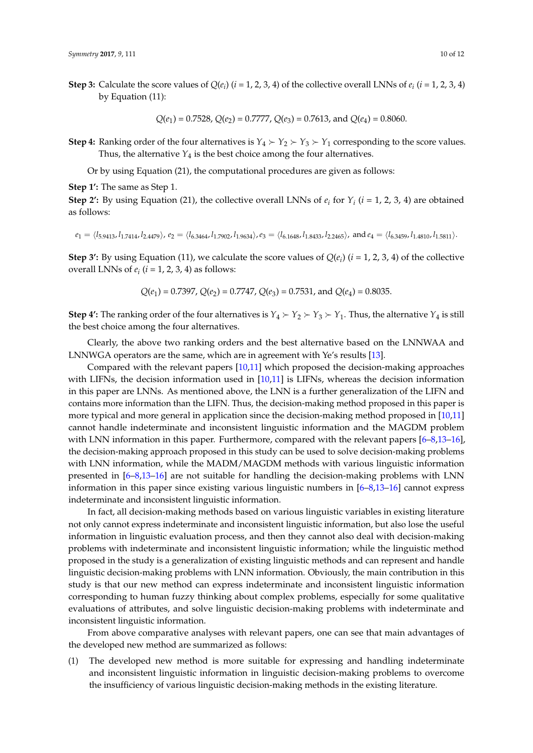**Step 3:** Calculate the score values of  $Q(e_i)$  ( $i = 1, 2, 3, 4$ ) of the collective overall LNNs of  $e_i$  ( $i = 1, 2, 3, 4$ ) by Equation (11):

 $Q(e_1) = 0.7528$ ,  $Q(e_2) = 0.7777$ ,  $Q(e_3) = 0.7613$ , and  $Q(e_4) = 0.8060$ .

**Step 4:** Ranking order of the four alternatives is  $Y_4 \succ Y_2 \succ Y_3 \succ Y_1$  corresponding to the score values. Thus, the alternative  $Y_4$  is the best choice among the four alternatives.

Or by using Equation (21), the computational procedures are given as follows:

**Step 1':** The same as Step 1.

**Step 2':** By using Equation (21), the collective overall LNNs of  $e_i$  for  $Y_i$  ( $i = 1, 2, 3, 4$ ) are obtained as follows:

$$
e_1 = \langle l_{5.9413}, l_{1.7414}, l_{2.4479} \rangle, e_2 = \langle l_{6.3464}, l_{1.7902}, l_{1.9634} \rangle, e_3 = \langle l_{6.1648}, l_{1.8433}, l_{2.2465} \rangle, \text{ and } e_4 = \langle l_{6.3459}, l_{1.4810}, l_{1.5811} \rangle.
$$

**Step 3':** By using Equation (11), we calculate the score values of  $Q(e_i)$  ( $i = 1, 2, 3, 4$ ) of the collective overall LNNs of  $e_i$  ( $i = 1, 2, 3, 4$ ) as follows:

$$
Q(e_1) = 0.7397
$$
,  $Q(e_2) = 0.7747$ ,  $Q(e_3) = 0.7531$ , and  $Q(e_4) = 0.8035$ .

**Step 4':** The ranking order of the four alternatives is  $Y_4 \succ Y_2 \succ Y_3 \succ Y_1$ . Thus, the alternative  $Y_4$  is still the best choice among the four alternatives.

Clearly, the above two ranking orders and the best alternative based on the LNNWAA and LNNWGA operators are the same, which are in agreement with Ye's results [\[13\]](#page-11-0).

Compared with the relevant papers [\[10](#page-10-8)[,11\]](#page-10-9) which proposed the decision-making approaches with LIFNs, the decision information used in [\[10,](#page-10-8)[11\]](#page-10-9) is LIFNs, whereas the decision information in this paper are LNNs. As mentioned above, the LNN is a further generalization of the LIFN and contains more information than the LIFN. Thus, the decision-making method proposed in this paper is more typical and more general in application since the decision-making method proposed in [\[10](#page-10-8)[,11\]](#page-10-9) cannot handle indeterminate and inconsistent linguistic information and the MAGDM problem with LNN information in this paper. Furthermore, compared with the relevant papers  $[6-8,13-16]$  $[6-8,13-16]$  $[6-8,13-16]$  $[6-8,13-16]$ , the decision-making approach proposed in this study can be used to solve decision-making problems with LNN information, while the MADM/MAGDM methods with various linguistic information presented in [\[6–](#page-10-5)[8](#page-10-6)[,13](#page-11-0)[–16\]](#page-11-3) are not suitable for handling the decision-making problems with LNN information in this paper since existing various linguistic numbers in [\[6–](#page-10-5)[8,](#page-10-6)[13](#page-11-0)[–16\]](#page-11-3) cannot express indeterminate and inconsistent linguistic information.

In fact, all decision-making methods based on various linguistic variables in existing literature not only cannot express indeterminate and inconsistent linguistic information, but also lose the useful information in linguistic evaluation process, and then they cannot also deal with decision-making problems with indeterminate and inconsistent linguistic information; while the linguistic method proposed in the study is a generalization of existing linguistic methods and can represent and handle linguistic decision-making problems with LNN information. Obviously, the main contribution in this study is that our new method can express indeterminate and inconsistent linguistic information corresponding to human fuzzy thinking about complex problems, especially for some qualitative evaluations of attributes, and solve linguistic decision-making problems with indeterminate and inconsistent linguistic information.

From above comparative analyses with relevant papers, one can see that main advantages of the developed new method are summarized as follows:

(1) The developed new method is more suitable for expressing and handling indeterminate and inconsistent linguistic information in linguistic decision-making problems to overcome the insufficiency of various linguistic decision-making methods in the existing literature.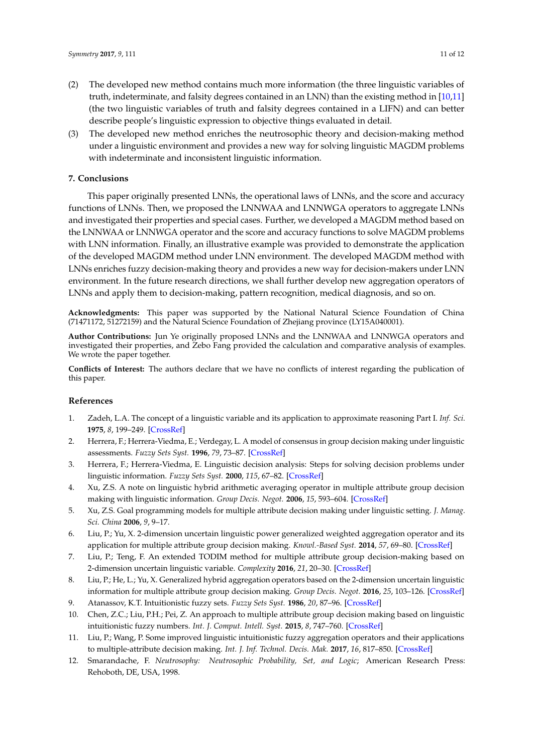- (2) The developed new method contains much more information (the three linguistic variables of truth, indeterminate, and falsity degrees contained in an LNN) than the existing method in [\[10,](#page-10-8)[11\]](#page-10-9) (the two linguistic variables of truth and falsity degrees contained in a LIFN) and can better describe people's linguistic expression to objective things evaluated in detail.
- (3) The developed new method enriches the neutrosophic theory and decision-making method under a linguistic environment and provides a new way for solving linguistic MAGDM problems with indeterminate and inconsistent linguistic information.

# <span id="page-10-11"></span>**7. Conclusions**

This paper originally presented LNNs, the operational laws of LNNs, and the score and accuracy functions of LNNs. Then, we proposed the LNNWAA and LNNWGA operators to aggregate LNNs and investigated their properties and special cases. Further, we developed a MAGDM method based on the LNNWAA or LNNWGA operator and the score and accuracy functions to solve MAGDM problems with LNN information. Finally, an illustrative example was provided to demonstrate the application of the developed MAGDM method under LNN environment. The developed MAGDM method with LNNs enriches fuzzy decision-making theory and provides a new way for decision-makers under LNN environment. In the future research directions, we shall further develop new aggregation operators of LNNs and apply them to decision-making, pattern recognition, medical diagnosis, and so on.

**Acknowledgments:** This paper was supported by the National Natural Science Foundation of China (71471172, 51272159) and the Natural Science Foundation of Zhejiang province (LY15A040001).

**Author Contributions:** Jun Ye originally proposed LNNs and the LNNWAA and LNNWGA operators and investigated their properties, and Zebo Fang provided the calculation and comparative analysis of examples. We wrote the paper together.

**Conflicts of Interest:** The authors declare that we have no conflicts of interest regarding the publication of this paper.

# **References**

- <span id="page-10-0"></span>1. Zadeh, L.A. The concept of a linguistic variable and its application to approximate reasoning Part I. *Inf. Sci.* **1975**, *8*, 199–249. [\[CrossRef\]](http://dx.doi.org/10.1016/0020-0255(75)90036-5)
- <span id="page-10-1"></span>2. Herrera, F.; Herrera-Viedma, E.; Verdegay, L. A model of consensus in group decision making under linguistic assessments. *Fuzzy Sets Syst.* **1996**, *79*, 73–87. [\[CrossRef\]](http://dx.doi.org/10.1016/0165-0114(95)00107-7)
- <span id="page-10-2"></span>3. Herrera, F.; Herrera-Viedma, E. Linguistic decision analysis: Steps for solving decision problems under linguistic information. *Fuzzy Sets Syst.* **2000**, *115*, 67–82. [\[CrossRef\]](http://dx.doi.org/10.1016/S0165-0114(99)00024-X)
- <span id="page-10-3"></span>4. Xu, Z.S. A note on linguistic hybrid arithmetic averaging operator in multiple attribute group decision making with linguistic information. *Group Decis. Negot.* **2006**, *15*, 593–604. [\[CrossRef\]](http://dx.doi.org/10.1007/s10726-005-9008-4)
- <span id="page-10-4"></span>5. Xu, Z.S. Goal programming models for multiple attribute decision making under linguistic setting. *J. Manag. Sci. China* **2006**, *9*, 9–17.
- <span id="page-10-5"></span>6. Liu, P.; Yu, X. 2-dimension uncertain linguistic power generalized weighted aggregation operator and its application for multiple attribute group decision making. *Knowl.-Based Syst.* **2014**, *57*, 69–80. [\[CrossRef\]](http://dx.doi.org/10.1016/j.knosys.2013.12.009)
- 7. Liu, P.; Teng, F. An extended TODIM method for multiple attribute group decision-making based on 2-dimension uncertain linguistic variable. *Complexity* **2016**, *21*, 20–30. [\[CrossRef\]](http://dx.doi.org/10.1002/cplx.21625)
- <span id="page-10-6"></span>8. Liu, P.; He, L.; Yu, X. Generalized hybrid aggregation operators based on the 2-dimension uncertain linguistic information for multiple attribute group decision making. *Group Decis. Negot.* **2016**, *25*, 103–126. [\[CrossRef\]](http://dx.doi.org/10.1007/s10726-015-9434-x)
- <span id="page-10-7"></span>9. Atanassov, K.T. Intuitionistic fuzzy sets. *Fuzzy Sets Syst.* **1986**, *20*, 87–96. [\[CrossRef\]](http://dx.doi.org/10.1016/S0165-0114(86)80034-3)
- <span id="page-10-8"></span>10. Chen, Z.C.; Liu, P.H.; Pei, Z. An approach to multiple attribute group decision making based on linguistic intuitionistic fuzzy numbers. *Int. J. Comput. Intell. Syst.* **2015**, *8*, 747–760. [\[CrossRef\]](http://dx.doi.org/10.1080/18756891.2015.1061394)
- <span id="page-10-9"></span>11. Liu, P.; Wang, P. Some improved linguistic intuitionistic fuzzy aggregation operators and their applications to multiple-attribute decision making. *Int. J. Inf. Technol. Decis. Mak.* **2017**, *16*, 817–850. [\[CrossRef\]](http://dx.doi.org/10.1142/S0219622017500110)
- <span id="page-10-10"></span>12. Smarandache, F. *Neutrosophy: Neutrosophic Probability, Set, and Logic*; American Research Press: Rehoboth, DE, USA, 1998.